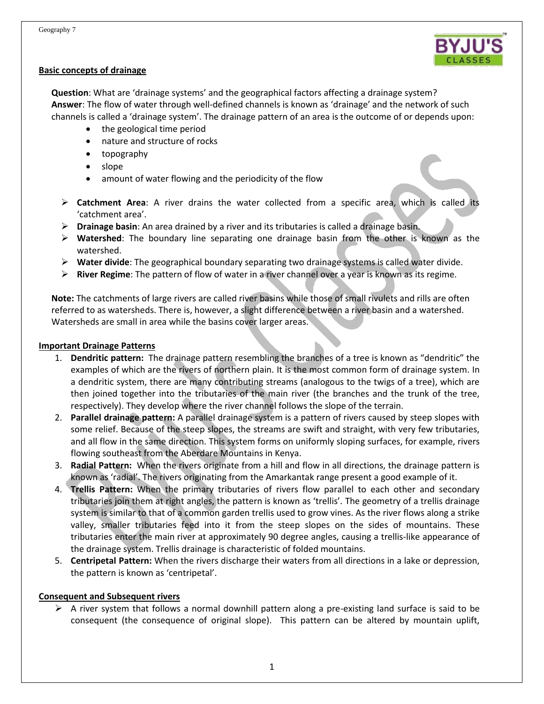#### **Basic concepts of drainage**

**Question**: What are 'drainage systems' and the geographical factors affecting a drainage system? **Answer**: The flow of water through well-defined channels is known as 'drainage' and the network of such channels is called a 'drainage system'. The drainage pattern of an area is the outcome of or depends upon:

- the geological time period
- nature and structure of rocks
- topography
- slope
- amount of water flowing and the periodicity of the flow
- **Catchment Area**: A river drains the water collected from a specific area, which is called its 'catchment area'.
- **Drainage basin**: An area drained by a river and its tributaries is called a drainage basin.
- **Watershed**: The boundary line separating one drainage basin from the other is known as the watershed.
- **Water divide**: The geographical boundary separating two drainage systems is called water divide.
- **River Regime**: The pattern of flow of water in a river channel over a year is known as its regime.

**Note:** The catchments of large rivers are called river basins while those of small rivulets and rills are often referred to as watersheds. There is, however, a slight difference between a river basin and a watershed. Watersheds are small in area while the basins cover larger areas.

#### **Important Drainage Patterns**

- 1. **Dendritic pattern:** The drainage pattern resembling the branches of a tree is known as "dendritic" the examples of which are the rivers of northern plain. It is the most common form of drainage system. In a dendritic system, there are many contributing streams (analogous to the twigs of a tree), which are then joined together into the tributaries of the main river (the branches and the trunk of the tree, respectively). They develop where the river channel follows the slope of the terrain.
- 2. **Parallel drainage pattern:** A parallel drainage system is a pattern of rivers caused by steep slopes with some relief. Because of the steep slopes, the streams are swift and straight, with very few tributaries, and all flow in the same direction. This system forms on uniformly sloping surfaces, for example, rivers flowing southeast from the Aberdare Mountains in Kenya.
- 3. **Radial Pattern:** When the rivers originate from a hill and flow in all directions, the drainage pattern is known as 'radial'. The rivers originating from the Amarkantak range present a good example of it.
- 4. **Trellis Pattern:** When the primary tributaries of rivers flow parallel to each other and secondary tributaries join them at right angles, the pattern is known as 'trellis'. The geometry of a trellis drainage system is similar to that of a common garden trellis used to grow vines. As the river flows along a strike valley, smaller tributaries feed into it from the steep slopes on the sides of mountains. These tributaries enter the main river at approximately 90 degree angles, causing a trellis-like appearance of the drainage system. Trellis drainage is characteristic of folded mountains.
- 5. **Centripetal Pattern:** When the rivers discharge their waters from all directions in a lake or depression, the pattern is known as 'centripetal'.

#### **Consequent and Subsequent rivers**

 $\triangleright$  A river system that follows a normal downhill pattern along a pre-existing land surface is said to be consequent (the consequence of original slope). This pattern can be altered by mountain uplift,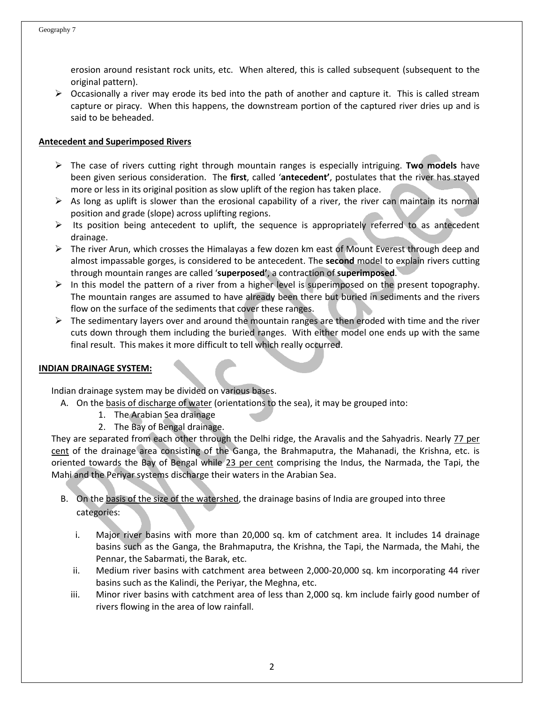erosion around resistant rock units, etc. When altered, this is called subsequent (subsequent to the original pattern).

 $\triangleright$  Occasionally a river may erode its bed into the path of another and capture it. This is called stream capture or piracy. When this happens, the downstream portion of the captured river dries up and is said to be beheaded.

#### **Antecedent and Superimposed Rivers**

- The case of rivers cutting right through mountain ranges is especially intriguing. **Two models** have been given serious consideration. The **first**, called '**antecedent'**, postulates that the river has stayed more or less in its original position as slow uplift of the region has taken place.
- $\triangleright$  As long as uplift is slower than the erosional capability of a river, the river can maintain its normal position and grade (slope) across uplifting regions.
- $\triangleright$  Its position being antecedent to uplift, the sequence is appropriately referred to as antecedent drainage.
- $\triangleright$  The river Arun, which crosses the Himalayas a few dozen km east of Mount Everest through deep and almost impassable gorges, is considered to be antecedent. The **second** model to explain rivers cutting through mountain ranges are called '**superposed'**, a contraction of **superimposed**.
- $\triangleright$  In this model the pattern of a river from a higher level is superimposed on the present topography. The mountain ranges are assumed to have already been there but buried in sediments and the rivers flow on the surface of the sediments that cover these ranges.
- $\triangleright$  The sedimentary layers over and around the mountain ranges are then eroded with time and the river cuts down through them including the buried ranges. With either model one ends up with the same final result. This makes it more difficult to tell which really occurred.

#### **INDIAN DRAINAGE SYSTEM:**

Indian drainage system may be divided on various bases.

- A. On the basis of discharge of water (orientations to the sea), it may be grouped into:
	- 1. The Arabian Sea drainage
	- 2. The Bay of Bengal drainage.

They are separated from each other through the Delhi ridge, the Aravalis and the Sahyadris. Nearly 77 per cent of the drainage area consisting of the Ganga, the Brahmaputra, the Mahanadi, the Krishna, etc. is oriented towards the Bay of Bengal while 23 per cent comprising the Indus, the Narmada, the Tapi, the Mahi and the Periyar systems discharge their waters in the Arabian Sea.

- B. On the basis of the size of the watershed, the drainage basins of India are grouped into three categories:
	- i. Major river basins with more than 20,000 sq. km of catchment area. It includes 14 drainage basins such as the Ganga, the Brahmaputra, the Krishna, the Tapi, the Narmada, the Mahi, the Pennar, the Sabarmati, the Barak, etc.
	- ii. Medium river basins with catchment area between 2,000-20,000 sq. km incorporating 44 river basins such as the Kalindi, the Periyar, the Meghna, etc.
	- iii. Minor river basins with catchment area of less than 2,000 sq. km include fairly good number of rivers flowing in the area of low rainfall.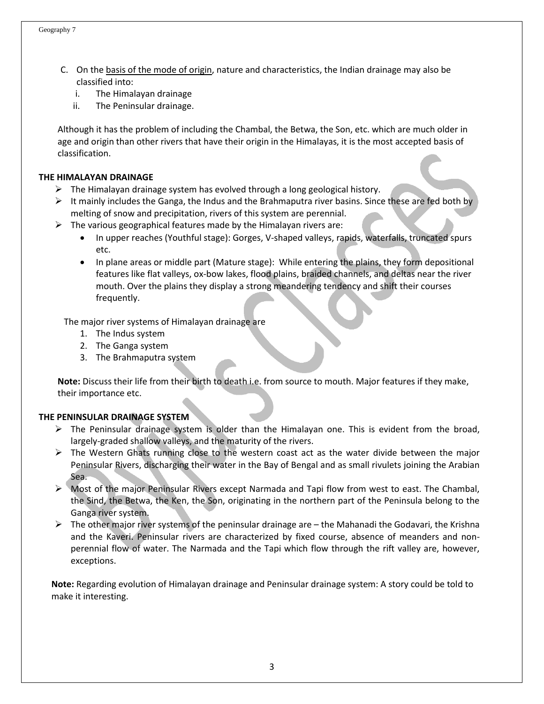- C. On the basis of the mode of origin, nature and characteristics, the Indian drainage may also be classified into:
	- i. The Himalayan drainage
	- ii. The Peninsular drainage.

Although it has the problem of including the Chambal, the Betwa, the Son, etc. which are much older in age and origin than other rivers that have their origin in the Himalayas, it is the most accepted basis of classification.

#### **THE HIMALAYAN DRAINAGE**

- $\triangleright$  The Himalayan drainage system has evolved through a long geological history.
- $\triangleright$  It mainly includes the Ganga, the Indus and the Brahmaputra river basins. Since these are fed both by melting of snow and precipitation, rivers of this system are perennial.
- $\triangleright$  The various geographical features made by the Himalayan rivers are:
	- In upper reaches (Youthful stage): Gorges, V-shaped valleys, rapids, waterfalls, truncated spurs etc.
	- In plane areas or middle part (Mature stage): While entering the plains, they form depositional features like flat valleys, ox-bow lakes, flood plains, braided channels, and deltas near the river mouth. Over the plains they display a strong meandering tendency and shift their courses frequently.

The major river systems of Himalayan drainage are

- 1. The Indus system
- 2. The Ganga system
- 3. The Brahmaputra system

**Note:** Discuss their life from their birth to death i.e. from source to mouth. Major features if they make, their importance etc.

#### **THE PENINSULAR DRAINAGE SYSTEM**

- $\triangleright$  The Peninsular drainage system is older than the Himalayan one. This is evident from the broad, largely-graded shallow valleys, and the maturity of the rivers.
- $\triangleright$  The Western Ghats running close to the western coast act as the water divide between the major Peninsular Rivers, discharging their water in the Bay of Bengal and as small rivulets joining the Arabian Sea.
- Most of the major Peninsular Rivers except Narmada and Tapi flow from west to east. The Chambal, the Sind, the Betwa, the Ken, the Son, originating in the northern part of the Peninsula belong to the Ganga river system.
- $\triangleright$  The other major river systems of the peninsular drainage are the Mahanadi the Godavari, the Krishna and the Kaveri. Peninsular rivers are characterized by fixed course, absence of meanders and nonperennial flow of water. The Narmada and the Tapi which flow through the rift valley are, however, exceptions.

**Note:** Regarding evolution of Himalayan drainage and Peninsular drainage system: A story could be told to make it interesting.